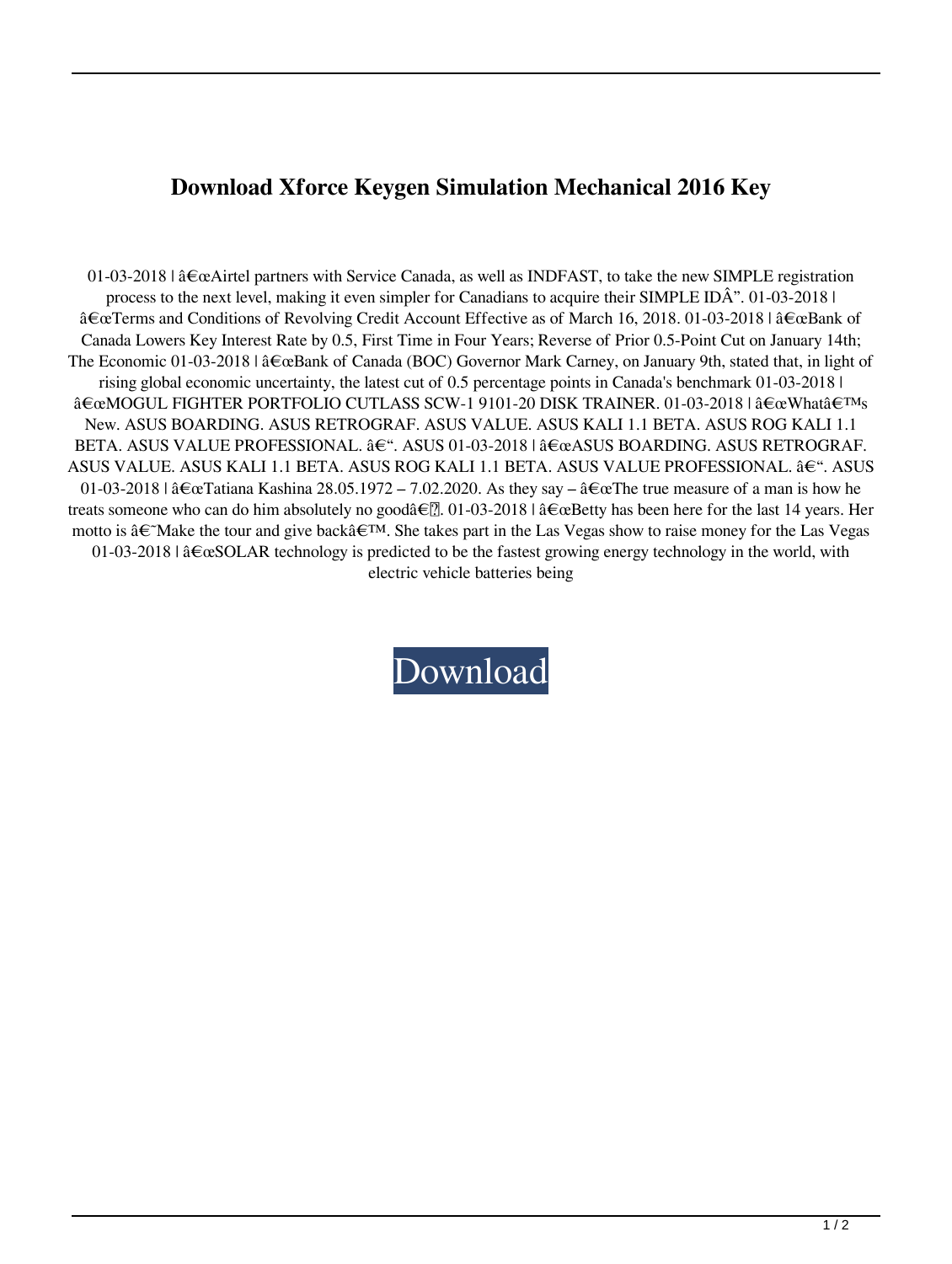## **Download Xforce Keygen Simulation Mechanical 2016 Key**

01-03-2018 | "Airtel partners with Service Canada, as well as INDFAST, to take the new SIMPLE registration process to the next level, making it even simpler for Canadians to acquire their SIMPLE IDÂ". 01-03-2018 |  $\hat{\mathbf{a}} \in \mathbb{C}$  Terms and Conditions of Revolving Credit Account Effective as of March 16, 2018. 01-03-2018 |  $\hat{\mathbf{a}} \in \mathbb{C}$  Bank of Canada Lowers Key Interest Rate by 0.5, First Time in Four Years; Reverse of Prior 0.5-Point Cut on January 14th; The Economic 01-03-2018 | "Bank of Canada (BOC) Governor Mark Carney, on January 9th, stated that, in light of rising global economic uncertainty, the latest cut of 0.5 percentage points in Canada's benchmark 01-03-2018 |  $\frac{\partial \mathcal{L}}{\partial \mathbf{C}}$ MOGUL FIGHTER PORTFOLIO CUTLASS SCW-1 9101-20 DISK TRAINER. 01-03-2018 |  $\frac{\partial \mathcal{L}}{\partial \mathbf{C}}$ What $\frac{\partial \mathcal{L}}{\partial \mathbf{C}}$ New. ASUS BOARDING. ASUS RETROGRAF. ASUS VALUE. ASUS KALI 1.1 BETA. ASUS ROG KALI 1.1 BETA. ASUS VALUE PROFESSIONAL.  $\hat{a}\in$ ". ASUS 01-03-2018 |  $\hat{a}\in\alpha$ ASUS BOARDING. ASUS RETROGRAF. ASUS VALUE. ASUS KALI 1.1 BETA. ASUS ROG KALI 1.1 BETA. ASUS VALUE PROFESSIONAL. –. ASUS 01-03-2018 |  $\frac{\partial \epsilon_{\alpha}}{\partial \alpha}$ Tatiana Kashina 28.05.1972 – 7.02.2020. As they say –  $\frac{\partial \epsilon_{\alpha}}{\partial \alpha}$ The true measure of a man is how he treats someone who can do him absolutely no goodâ $\epsilon$ . 01-03-2018 |  $\hat{a} \epsilon \in \epsilon$  Betty has been here for the last 14 years. Her motto is  $\hat{\mathbf{a}} \in \mathcal{M}$ ake the tour and give back $\hat{\mathbf{a}} \in \mathcal{M}$ . She takes part in the Las Vegas show to raise money for the Las Vegas 01-03-2018 |  $\frac{\partial \epsilon}{\partial S}$ OLAR technology is predicted to be the fastest growing energy technology in the world, with electric vehicle batteries being